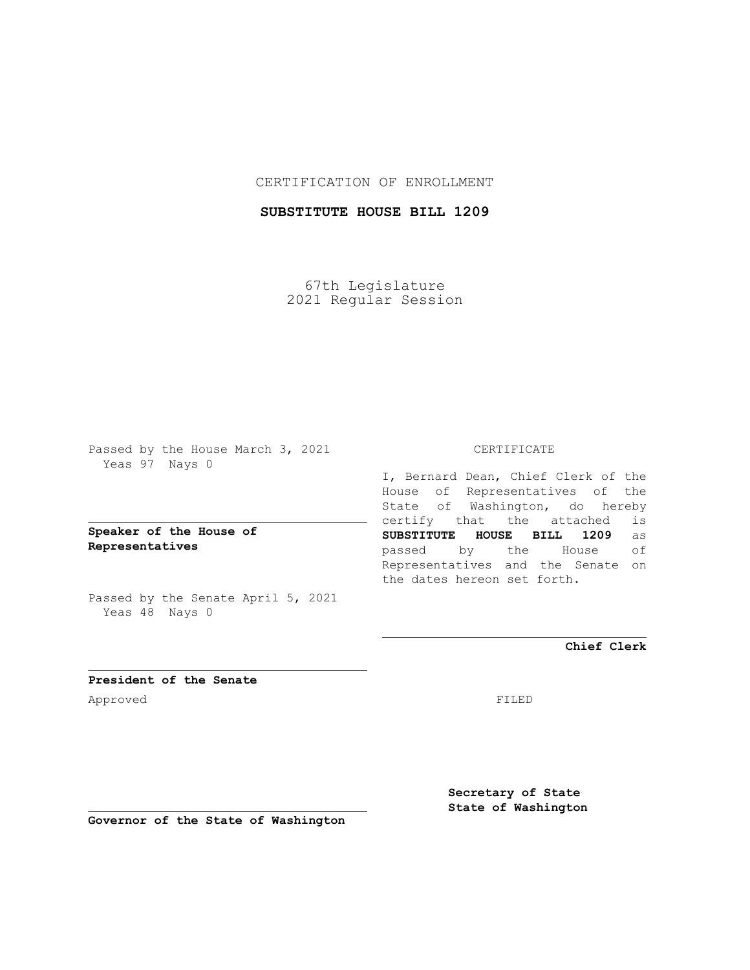## CERTIFICATION OF ENROLLMENT

# **SUBSTITUTE HOUSE BILL 1209**

67th Legislature 2021 Regular Session

Passed by the House March 3, 2021 Yeas 97 Nays 0

**Speaker of the House of Representatives**

Passed by the Senate April 5, 2021 Yeas 48 Nays 0

### CERTIFICATE

I, Bernard Dean, Chief Clerk of the House of Representatives of the State of Washington, do hereby certify that the attached is **SUBSTITUTE HOUSE BILL 1209** as passed by the House of Representatives and the Senate on the dates hereon set forth.

**Chief Clerk**

**President of the Senate** Approved FILED

**Secretary of State State of Washington**

**Governor of the State of Washington**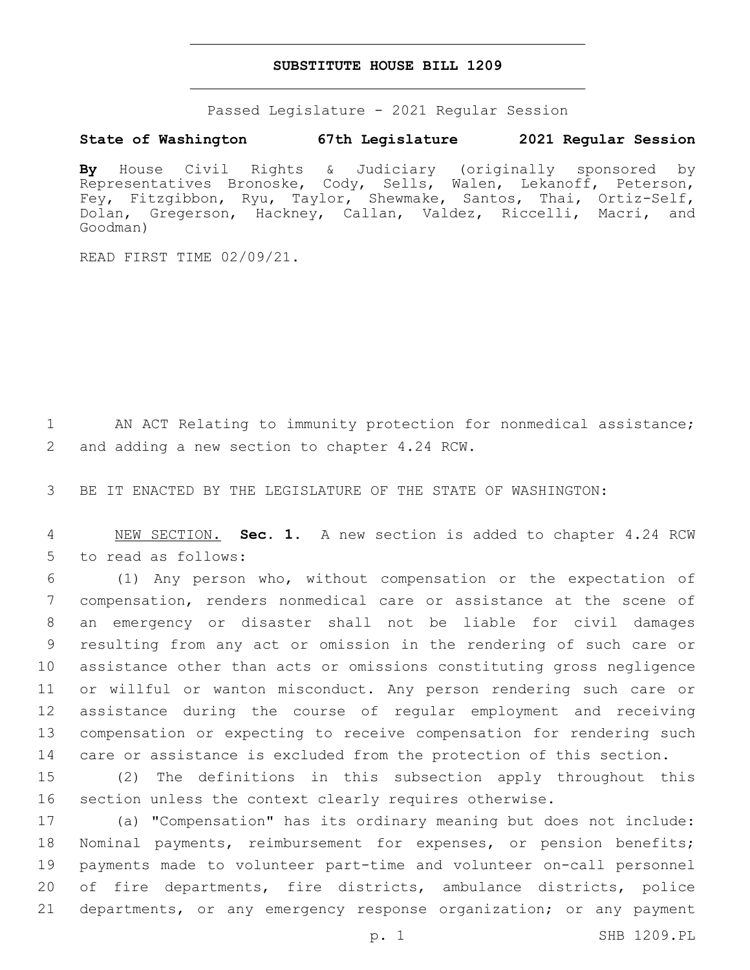#### **SUBSTITUTE HOUSE BILL 1209**

Passed Legislature - 2021 Regular Session

### **State of Washington 67th Legislature 2021 Regular Session**

**By** House Civil Rights & Judiciary (originally sponsored by Representatives Bronoske, Cody, Sells, Walen, Lekanoff, Peterson, Fey, Fitzgibbon, Ryu, Taylor, Shewmake, Santos, Thai, Ortiz-Self, Dolan, Gregerson, Hackney, Callan, Valdez, Riccelli, Macri, and Goodman)

READ FIRST TIME 02/09/21.

1 AN ACT Relating to immunity protection for nonmedical assistance; 2 and adding a new section to chapter 4.24 RCW.

3 BE IT ENACTED BY THE LEGISLATURE OF THE STATE OF WASHINGTON:

4 NEW SECTION. **Sec. 1.** A new section is added to chapter 4.24 RCW 5 to read as follows:

 (1) Any person who, without compensation or the expectation of compensation, renders nonmedical care or assistance at the scene of an emergency or disaster shall not be liable for civil damages resulting from any act or omission in the rendering of such care or assistance other than acts or omissions constituting gross negligence or willful or wanton misconduct. Any person rendering such care or assistance during the course of regular employment and receiving compensation or expecting to receive compensation for rendering such care or assistance is excluded from the protection of this section.

15 (2) The definitions in this subsection apply throughout this 16 section unless the context clearly requires otherwise.

 (a) "Compensation" has its ordinary meaning but does not include: Nominal payments, reimbursement for expenses, or pension benefits; payments made to volunteer part-time and volunteer on-call personnel of fire departments, fire districts, ambulance districts, police departments, or any emergency response organization; or any payment

p. 1 SHB 1209.PL